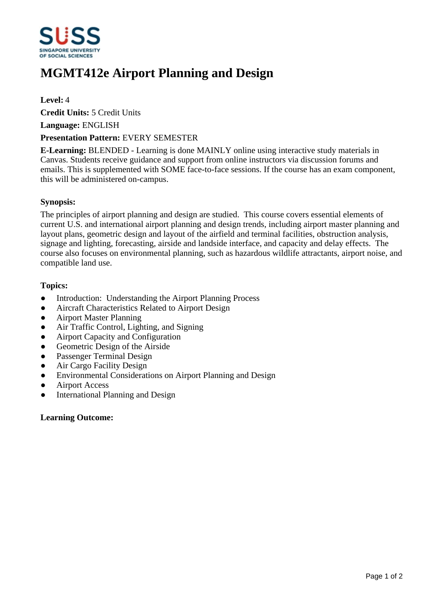

# **MGMT412e Airport Planning and Design**

### **Level:** 4

**Credit Units:** 5 Credit Units

**Language:** ENGLISH

#### **Presentation Pattern:** EVERY SEMESTER

**E-Learning:** BLENDED - Learning is done MAINLY online using interactive study materials in Canvas. Students receive guidance and support from online instructors via discussion forums and emails. This is supplemented with SOME face-to-face sessions. If the course has an exam component, this will be administered on-campus.

#### **Synopsis:**

The principles of airport planning and design are studied. This course covers essential elements of current U.S. and international airport planning and design trends, including airport master planning and layout plans, geometric design and layout of the airfield and terminal facilities, obstruction analysis, signage and lighting, forecasting, airside and landside interface, and capacity and delay effects. The course also focuses on environmental planning, such as hazardous wildlife attractants, airport noise, and compatible land use.

#### **Topics:**

- Introduction: Understanding the Airport Planning Process
- Aircraft Characteristics Related to Airport Design
- ƔAirport Master Planning
- Air Traffic Control, Lighting, and Signing
- Airport Capacity and Configuration
- Geometric Design of the Airside
- Passenger Terminal Design
- Air Cargo Facility Design
- Environmental Considerations on Airport Planning and Design
- ƔAirport Access
- International Planning and Design

## **Learning Outcome:**